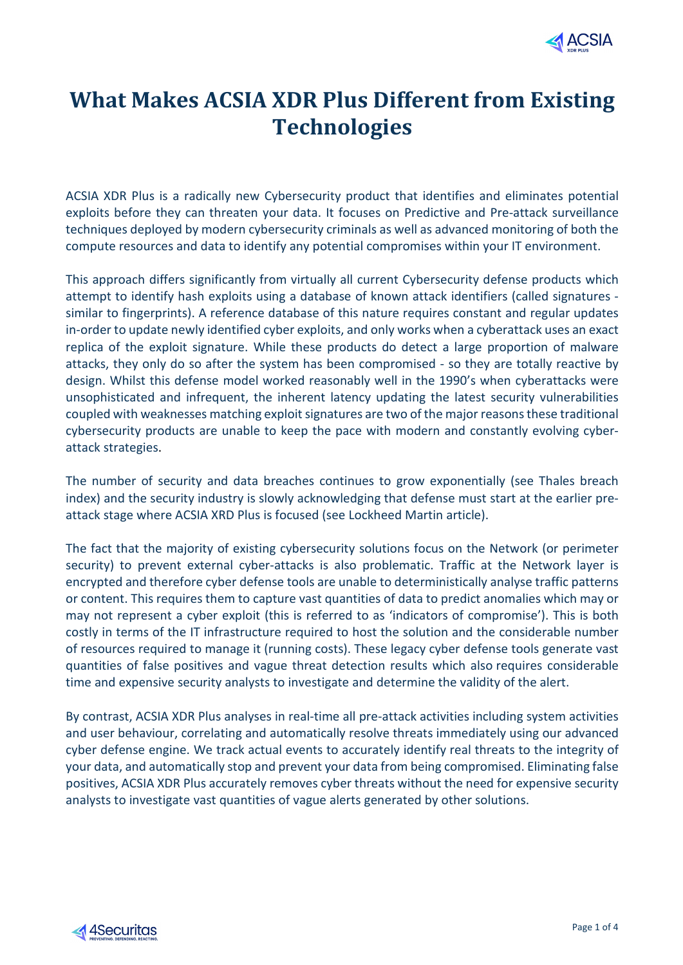

# **What Makes ACSIA XDR Plus Different from Existing Technologies**

ACSIA XDR Plus is a radically new Cybersecurity product that identifies and eliminates potential exploits before they can threaten your data. It focuses on Predictive and Pre-attack surveillance techniques deployed by modern cybersecurity criminals as well as advanced monitoring of both the compute resources and data to identify any potential compromises within your IT environment.

This approach differs significantly from virtually all current Cybersecurity defense products which attempt to identify hash exploits using a database of known attack identifiers (called signatures similar to fingerprints). A reference database of this nature requires constant and regular updates in-order to update newly identified cyber exploits, and only works when a cyberattack uses an exact replica of the exploit signature. While these products do detect a large proportion of malware attacks, they only do so after the system has been compromised - so they are totally reactive by design. Whilst this defense model worked reasonably well in the 1990's when cyberattacks were unsophisticated and infrequent, the inherent latency updating the latest security vulnerabilities coupled with weaknesses matching exploit signatures are two of the major reasons these traditional cybersecurity products are unable to keep the pace with modern and constantly evolving cyberattack strategies.

The number of security and data breaches continues to grow exponentially (see [Thales breach](https://dis-blog.thalesgroup.com/security/2018/10/09/breached-records-more-than-doubled-in-h1-2018-reveals-breach-level-index/)  [index\)](https://dis-blog.thalesgroup.com/security/2018/10/09/breached-records-more-than-doubled-in-h1-2018-reveals-breach-level-index/) and the security industry is slowly acknowledging that defense must start at the earlier preattack stage where ACSIA XRD Plus is focused (see [Lockheed Martin article\)](https://cyberstartupobservatory.com/why-the-current-approach-of-managing-cybersecurity-is-failing/).

The fact that the majority of existing cybersecurity solutions focus on the Network (or perimeter security) to prevent external cyber-attacks is also problematic. Traffic at the Network layer is encrypted and therefore cyber defense tools are unable to deterministically analyse traffic patterns or content. This requires them to capture vast quantities of data to predict anomalies which may or may not represent a cyber exploit (this is referred to as 'indicators of compromise'). This is both costly in terms of the IT infrastructure required to host the solution and the considerable number of resources required to manage it (running costs). These legacy cyber defense tools generate vast quantities of false positives and vague threat detection results which also requires considerable time and expensive security analysts to investigate and determine the validity of the alert.

By contrast, ACSIA XDR Plus analyses in real-time all pre-attack activities including system activities and user behaviour, correlating and automatically resolve threats immediately using our advanced cyber defense engine. We track actual events to accurately identify real threats to the integrity of your data, and automatically stop and prevent your data from being compromised. Eliminating false positives, ACSIA XDR Plus accurately removes cyber threats without the need for expensive security analysts to investigate vast quantities of vague alerts generated by other solutions.

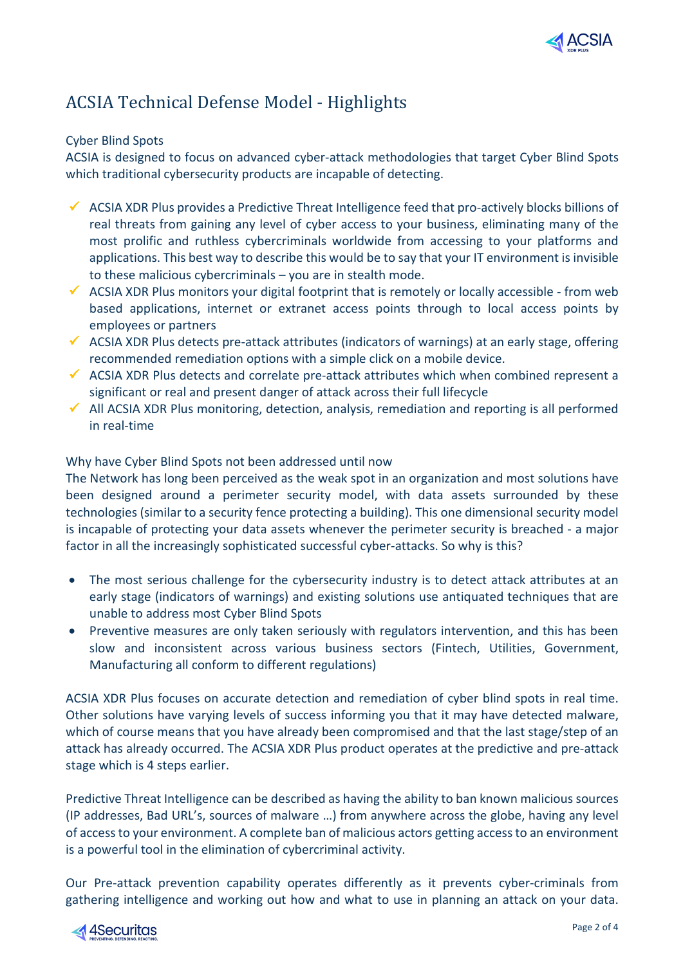

# ACSIA Technical Defense Model - Highlights

## Cyber Blind Spots

ACSIA is designed to focus on advanced cyber-attack methodologies that target Cyber Blind Spots which traditional cybersecurity products are incapable of detecting.

- $\checkmark$  ACSIA XDR Plus provides a Predictive Threat Intelligence feed that pro-actively blocks billions of real threats from gaining any level of cyber access to your business, eliminating many of the most prolific and ruthless cybercriminals worldwide from accessing to your platforms and applications. This best way to describe this would be to say that your IT environment is invisible to these malicious cybercriminals – you are in stealth mode.
- $\checkmark$  ACSIA XDR Plus monitors your digital footprint that is remotely or locally accessible from web based applications, internet or extranet access points through to local access points by employees or partners
- $\checkmark$  ACSIA XDR Plus detects pre-attack attributes (indicators of warnings) at an early stage, offering recommended remediation options with a simple click on a mobile device.
- $\checkmark$  ACSIA XDR Plus detects and correlate pre-attack attributes which when combined represent a significant or real and present danger of attack across their full lifecycle
- $\checkmark$  All ACSIA XDR Plus monitoring, detection, analysis, remediation and reporting is all performed in real-time

### Why have Cyber Blind Spots not been addressed until now

The Network has long been perceived as the weak spot in an organization and most solutions have been designed around a perimeter security model, with data assets surrounded by these technologies (similar to a security fence protecting a building). This one dimensional security model is incapable of protecting your data assets whenever the perimeter security is breached - a major factor in all the increasingly sophisticated successful cyber-attacks. So why is this?

- The most serious challenge for the cybersecurity industry is to detect attack attributes at an early stage (indicators of warnings) and existing solutions use antiquated techniques that are unable to address most Cyber Blind Spots
- Preventive measures are only taken seriously with regulators intervention, and this has been slow and inconsistent across various business sectors (Fintech, Utilities, Government, Manufacturing all conform to different regulations)

ACSIA XDR Plus focuses on accurate detection and remediation of cyber blind spots in real time. Other solutions have varying levels of success informing you that it may have detected malware, which of course means that you have already been compromised and that the last stage/step of an attack has already occurred. The ACSIA XDR Plus product operates at the predictive and pre-attack stage which is 4 steps earlier.

Predictive Threat Intelligence can be described as having the ability to ban known malicious sources (IP addresses, Bad URL's, sources of malware …) from anywhere across the globe, having any level of access to your environment. A complete ban of malicious actors getting access to an environment is a powerful tool in the elimination of cybercriminal activity.

Our Pre-attack prevention capability operates differently as it prevents cyber-criminals from gathering intelligence and working out how and what to use in planning an attack on your data.

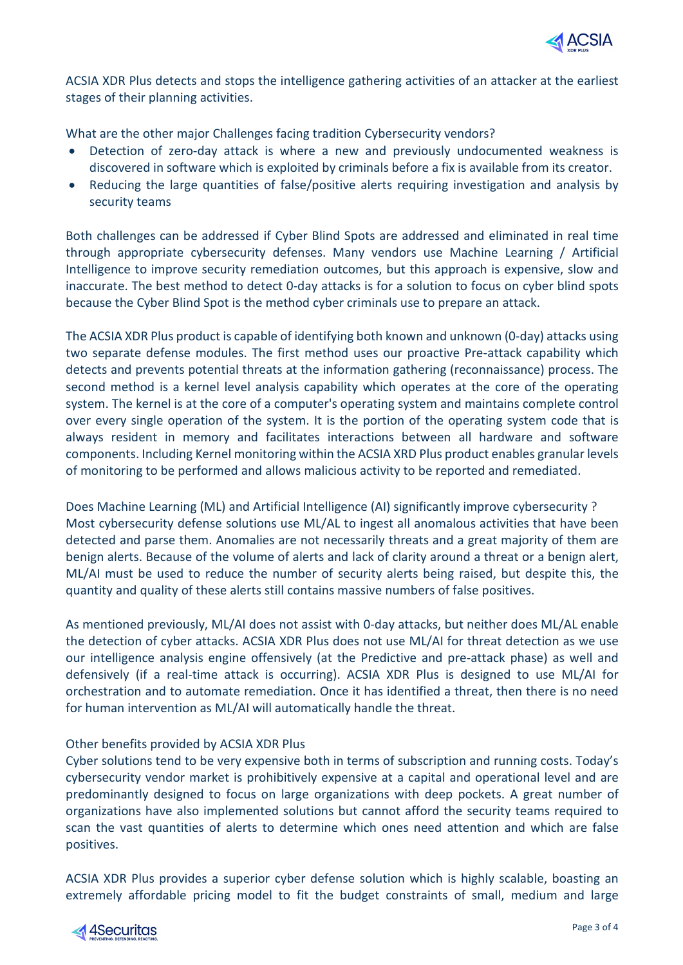

ACSIA XDR Plus detects and stops the intelligence gathering activities of an attacker at the earliest stages of their planning activities.

What are the other major Challenges facing tradition Cybersecurity vendors?

- Detection of zero-day attack is where a new and previously undocumented weakness is discovered in software which is exploited by criminals before a fix is available from its creator.
- Reducing the large quantities of false/positive alerts requiring investigation and analysis by security teams

Both challenges can be addressed if Cyber Blind Spots are addressed and eliminated in real time through appropriate cybersecurity defenses. Many vendors use Machine Learning / Artificial Intelligence to improve security remediation outcomes, but this approach is expensive, slow and inaccurate. The best method to detect 0-day attacks is for a solution to focus on cyber blind spots because the Cyber Blind Spot is the method cyber criminals use to prepare an attack.

The ACSIA XDR Plus product is capable of identifying both known and unknown (0-day) attacks using two separate defense modules. The first method uses our proactive Pre-attack capability which detects and prevents potential threats at the information gathering (reconnaissance) process. The second method is a kernel level analysis capability which operates at the core of the operating system. The kernel is at the core of a computer's operating system and maintains complete control over every single operation of the system. It is the portion of the operating system code that is always resident in memory and facilitates interactions between all hardware and software components. Including Kernel monitoring within the ACSIA XRD Plus product enables granular levels of monitoring to be performed and allows malicious activity to be reported and remediated.

Does Machine Learning (ML) and Artificial Intelligence (AI) significantly improve cybersecurity ? Most cybersecurity defense solutions use ML/AL to ingest all anomalous activities that have been detected and parse them. Anomalies are not necessarily threats and a great majority of them are benign alerts. Because of the volume of alerts and lack of clarity around a threat or a benign alert, ML/AI must be used to reduce the number of security alerts being raised, but despite this, the quantity and quality of these alerts still contains massive numbers of false positives.

As mentioned previously, ML/AI does not assist with 0-day attacks, but neither does ML/AL enable the detection of cyber attacks. ACSIA XDR Plus does not use ML/AI for threat detection as we use our intelligence analysis engine offensively (at the Predictive and pre-attack phase) as well and defensively (if a real-time attack is occurring). ACSIA XDR Plus is designed to use ML/AI for orchestration and to automate remediation. Once it has identified a threat, then there is no need for human intervention as ML/AI will automatically handle the threat.

#### Other benefits provided by ACSIA XDR Plus

Cyber solutions tend to be very expensive both in terms of subscription and running costs. Today's cybersecurity vendor market is prohibitively expensive at a capital and operational level and are predominantly designed to focus on large organizations with deep pockets. A great number of organizations have also implemented solutions but cannot afford the security teams required to scan the vast quantities of alerts to determine which ones need attention and which are false positives.

ACSIA XDR Plus provides a superior cyber defense solution which is highly scalable, boasting an extremely affordable pricing model to fit the budget constraints of small, medium and large